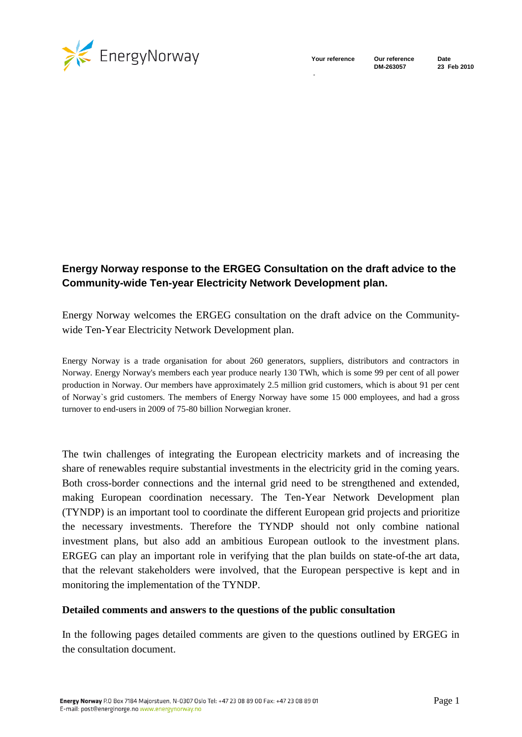

-

**DM-263057 23 Feb 2010**

# **Energy Norway response to the ERGEG Consultation on the draft advice to the Community-wide Ten-year Electricity Network Development plan.**

Energy Norway welcomes the ERGEG consultation on the draft advice on the Communitywide Ten-Year Electricity Network Development plan.

Energy Norway is a trade organisation for about 260 generators, suppliers, distributors and contractors in Norway. Energy Norway's members each year produce nearly 130 TWh, which is some 99 per cent of all power production in Norway. Our members have approximately 2.5 million grid customers, which is about 91 per cent of Norway`s grid customers. The members of Energy Norway have some 15 000 employees, and had a gross turnover to end-users in 2009 of 75-80 billion Norwegian kroner.

The twin challenges of integrating the European electricity markets and of increasing the share of renewables require substantial investments in the electricity grid in the coming years. Both cross-border connections and the internal grid need to be strengthened and extended, making European coordination necessary. The Ten-Year Network Development plan (TYNDP) is an important tool to coordinate the different European grid projects and prioritize the necessary investments. Therefore the TYNDP should not only combine national investment plans, but also add an ambitious European outlook to the investment plans. ERGEG can play an important role in verifying that the plan builds on state-of-the art data, that the relevant stakeholders were involved, that the European perspective is kept and in monitoring the implementation of the TYNDP.

#### **Detailed comments and answers to the questions of the public consultation**

In the following pages detailed comments are given to the questions outlined by ERGEG in the consultation document.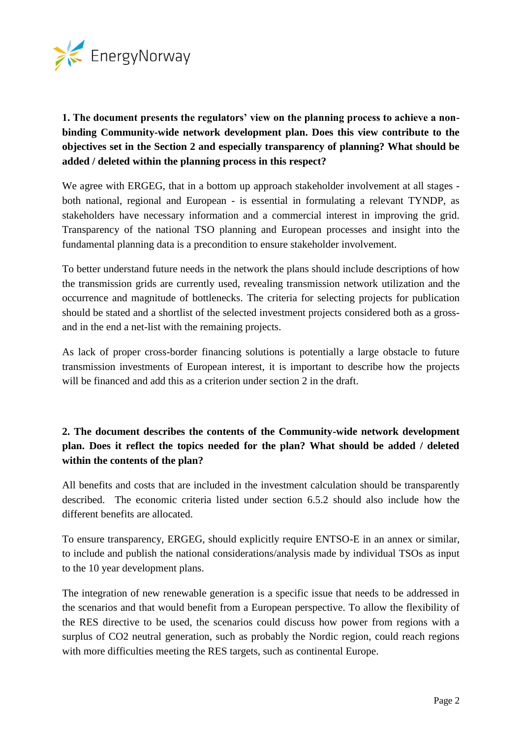

# **1. The document presents the regulators' view on the planning process to achieve a nonbinding Community-wide network development plan. Does this view contribute to the objectives set in the Section 2 and especially transparency of planning? What should be added / deleted within the planning process in this respect?**

We agree with ERGEG, that in a bottom up approach stakeholder involvement at all stages both national, regional and European - is essential in formulating a relevant TYNDP, as stakeholders have necessary information and a commercial interest in improving the grid. Transparency of the national TSO planning and European processes and insight into the fundamental planning data is a precondition to ensure stakeholder involvement.

To better understand future needs in the network the plans should include descriptions of how the transmission grids are currently used, revealing transmission network utilization and the occurrence and magnitude of bottlenecks. The criteria for selecting projects for publication should be stated and a shortlist of the selected investment projects considered both as a grossand in the end a net-list with the remaining projects.

As lack of proper cross-border financing solutions is potentially a large obstacle to future transmission investments of European interest, it is important to describe how the projects will be financed and add this as a criterion under section 2 in the draft.

# **2. The document describes the contents of the Community-wide network development plan. Does it reflect the topics needed for the plan? What should be added / deleted within the contents of the plan?**

All benefits and costs that are included in the investment calculation should be transparently described. The economic criteria listed under section 6.5.2 should also include how the different benefits are allocated.

To ensure transparency, ERGEG, should explicitly require ENTSO-E in an annex or similar, to include and publish the national considerations/analysis made by individual TSOs as input to the 10 year development plans.

The integration of new renewable generation is a specific issue that needs to be addressed in the scenarios and that would benefit from a European perspective. To allow the flexibility of the RES directive to be used, the scenarios could discuss how power from regions with a surplus of CO2 neutral generation, such as probably the Nordic region, could reach regions with more difficulties meeting the RES targets, such as continental Europe.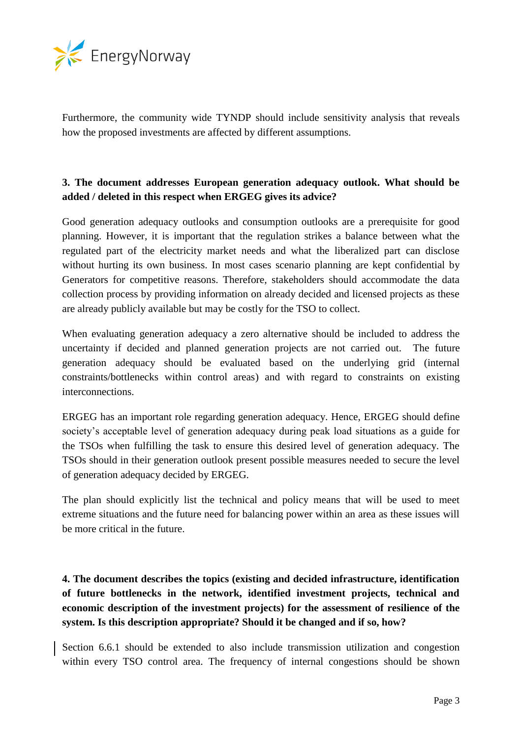

Furthermore, the community wide TYNDP should include sensitivity analysis that reveals how the proposed investments are affected by different assumptions.

#### **3. The document addresses European generation adequacy outlook. What should be added / deleted in this respect when ERGEG gives its advice?**

Good generation adequacy outlooks and consumption outlooks are a prerequisite for good planning. However, it is important that the regulation strikes a balance between what the regulated part of the electricity market needs and what the liberalized part can disclose without hurting its own business. In most cases scenario planning are kept confidential by Generators for competitive reasons. Therefore, stakeholders should accommodate the data collection process by providing information on already decided and licensed projects as these are already publicly available but may be costly for the TSO to collect.

When evaluating generation adequacy a zero alternative should be included to address the uncertainty if decided and planned generation projects are not carried out. The future generation adequacy should be evaluated based on the underlying grid (internal constraints/bottlenecks within control areas) and with regard to constraints on existing interconnections.

ERGEG has an important role regarding generation adequacy. Hence, ERGEG should define society's acceptable level of generation adequacy during peak load situations as a guide for the TSOs when fulfilling the task to ensure this desired level of generation adequacy. The TSOs should in their generation outlook present possible measures needed to secure the level of generation adequacy decided by ERGEG.

The plan should explicitly list the technical and policy means that will be used to meet extreme situations and the future need for balancing power within an area as these issues will be more critical in the future.

# **4. The document describes the topics (existing and decided infrastructure, identification of future bottlenecks in the network, identified investment projects, technical and economic description of the investment projects) for the assessment of resilience of the system. Is this description appropriate? Should it be changed and if so, how?**

Section 6.6.1 should be extended to also include transmission utilization and congestion within every TSO control area. The frequency of internal congestions should be shown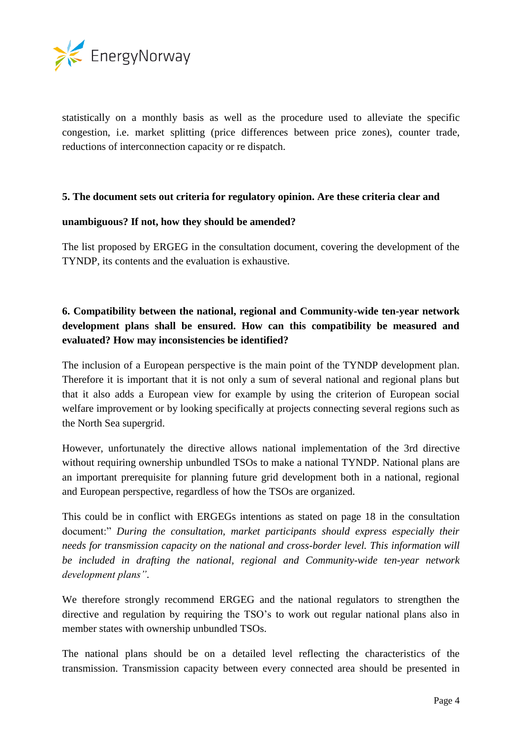

statistically on a monthly basis as well as the procedure used to alleviate the specific congestion, i.e. market splitting (price differences between price zones), counter trade, reductions of interconnection capacity or re dispatch.

#### **5. The document sets out criteria for regulatory opinion. Are these criteria clear and**

#### **unambiguous? If not, how they should be amended?**

The list proposed by ERGEG in the consultation document, covering the development of the TYNDP, its contents and the evaluation is exhaustive.

### **6. Compatibility between the national, regional and Community-wide ten-year network development plans shall be ensured. How can this compatibility be measured and evaluated? How may inconsistencies be identified?**

The inclusion of a European perspective is the main point of the TYNDP development plan. Therefore it is important that it is not only a sum of several national and regional plans but that it also adds a European view for example by using the criterion of European social welfare improvement or by looking specifically at projects connecting several regions such as the North Sea supergrid.

However, unfortunately the directive allows national implementation of the 3rd directive without requiring ownership unbundled TSOs to make a national TYNDP. National plans are an important prerequisite for planning future grid development both in a national, regional and European perspective, regardless of how the TSOs are organized.

This could be in conflict with ERGEGs intentions as stated on page 18 in the consultation document:" *During the consultation, market participants should express especially their needs for transmission capacity on the national and cross-border level. This information will be included in drafting the national, regional and Community-wide ten-year network development plans"*.

We therefore strongly recommend ERGEG and the national regulators to strengthen the directive and regulation by requiring the TSO's to work out regular national plans also in member states with ownership unbundled TSOs.

The national plans should be on a detailed level reflecting the characteristics of the transmission. Transmission capacity between every connected area should be presented in